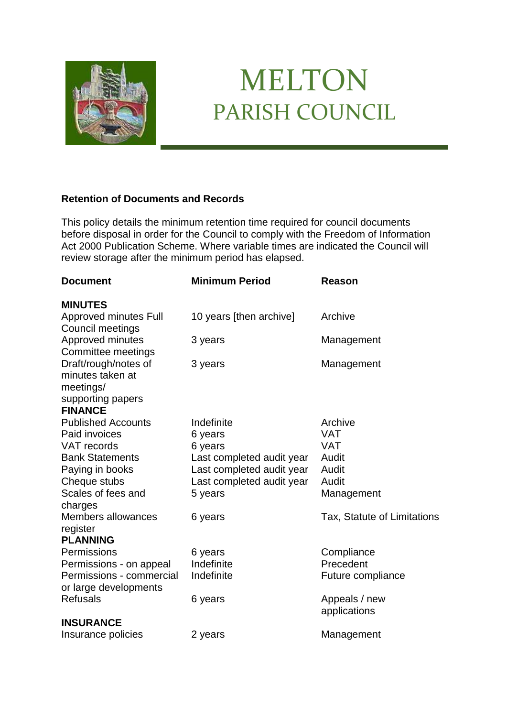

## MELTON PARISH COUNCIL

## **Retention of Documents and Records**

This policy details the minimum retention time required for council documents before disposal in order for the Council to comply with the Freedom of Information Act 2000 Publication Scheme. Where variable times are indicated the Council will review storage after the minimum period has elapsed.

| <b>Document</b>                                                                              | <b>Minimum Period</b>                                  | <b>Reason</b>                 |
|----------------------------------------------------------------------------------------------|--------------------------------------------------------|-------------------------------|
| <b>MINUTES</b>                                                                               |                                                        |                               |
| Approved minutes Full<br>Council meetings                                                    | 10 years [then archive]                                | Archive                       |
| Approved minutes<br>Committee meetings                                                       | 3 years                                                | Management                    |
| Draft/rough/notes of<br>minutes taken at<br>meetings/<br>supporting papers<br><b>FINANCE</b> | 3 years                                                | Management                    |
| <b>Published Accounts</b>                                                                    | Indefinite                                             | Archive                       |
| Paid invoices                                                                                | 6 years                                                | <b>VAT</b>                    |
| VAT records<br><b>Bank Statements</b>                                                        | 6 years                                                | <b>VAT</b><br>Audit           |
| Paying in books                                                                              | Last completed audit year<br>Last completed audit year | Audit                         |
| Cheque stubs                                                                                 | Last completed audit year                              | Audit                         |
| Scales of fees and                                                                           | 5 years                                                | Management                    |
| charges                                                                                      |                                                        |                               |
| <b>Members allowances</b><br>register                                                        | 6 years                                                | Tax, Statute of Limitations   |
| <b>PLANNING</b>                                                                              |                                                        |                               |
| Permissions                                                                                  | 6 years                                                | Compliance                    |
| Permissions - on appeal                                                                      | Indefinite                                             | Precedent                     |
| Permissions - commercial<br>or large developments                                            | Indefinite                                             | Future compliance             |
| <b>Refusals</b>                                                                              | 6 years                                                | Appeals / new<br>applications |
| <b>INSURANCE</b>                                                                             |                                                        |                               |
| Insurance policies                                                                           | 2 years                                                | Management                    |